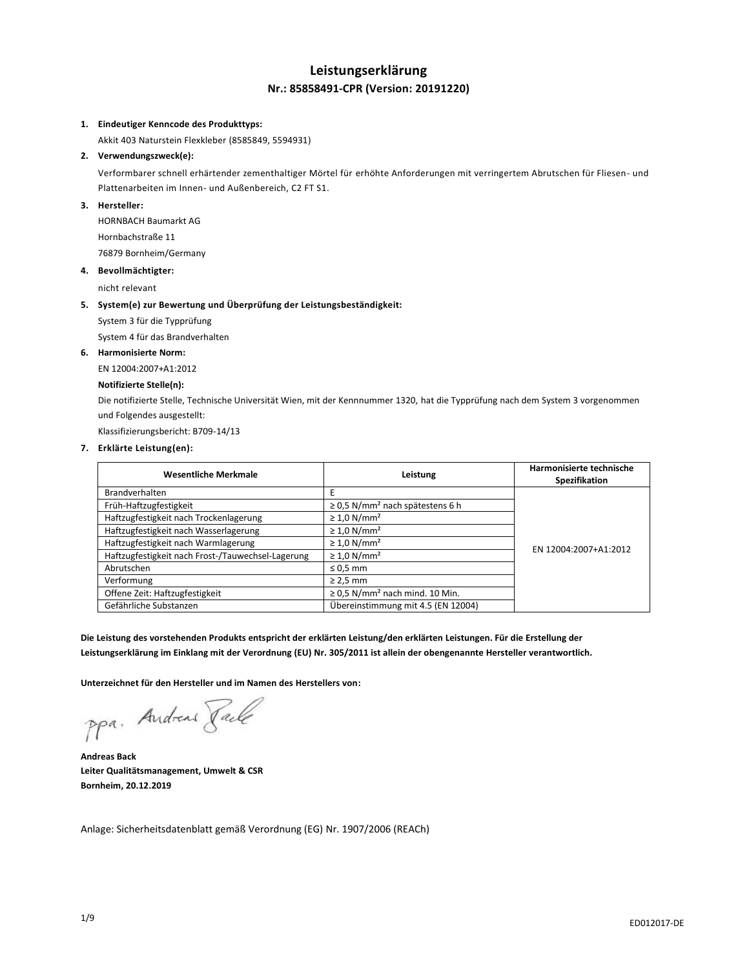# **Leistungserklärung Nr.: 85858491-CPR (Version: 20191220)**

## **1. Eindeutiger Kenncode des Produkttyps:**

Akkit 403 Naturstein Flexkleber (8585849, 5594931)

## **2. Verwendungszweck(e):**

Verformbarer schnell erhärtender zementhaltiger Mörtel für erhöhte Anforderungen mit verringertem Abrutschen für Fliesen- und Plattenarbeiten im Innen- und Außenbereich, C2 FT S1.

## **3. Hersteller:**

HORNBACH Baumarkt AG Hornbachstraße 11 76879 Bornheim/Germany

### **4. Bevollmächtigter:**

nicht relevant

### **5. System(e) zur Bewertung und Überprüfung der Leistungsbeständigkeit:**

System 3 für die Typprüfung

System 4 für das Brandverhalten

### **6. Harmonisierte Norm:**

EN 12004:2007+A1:2012

## **Notifizierte Stelle(n):**

Die notifizierte Stelle, Technische Universität Wien, mit der Kennnummer 1320, hat die Typprüfung nach dem System 3 vorgenommen und Folgendes ausgestellt:

Klassifizierungsbericht: B709-14/13

## **7. Erklärte Leistung(en):**

| <b>Wesentliche Merkmale</b>                       | Leistung                                         | Harmonisierte technische<br>Spezifikation |
|---------------------------------------------------|--------------------------------------------------|-------------------------------------------|
| Brandverhalten                                    | F                                                |                                           |
| Früh-Haftzugfestigkeit                            | $\geq$ 0.5 N/mm <sup>2</sup> nach spätestens 6 h |                                           |
| Haftzugfestigkeit nach Trockenlagerung            | $\geq 1.0$ N/mm <sup>2</sup>                     |                                           |
| Haftzugfestigkeit nach Wasserlagerung             | $\geq 1.0$ N/mm <sup>2</sup>                     |                                           |
| Haftzugfestigkeit nach Warmlagerung               | $\geq 1.0$ N/mm <sup>2</sup>                     | EN 12004:2007+A1:2012                     |
| Haftzugfestigkeit nach Frost-/Tauwechsel-Lagerung | $\geq 1.0$ N/mm <sup>2</sup>                     |                                           |
| Abrutschen                                        | $\leq 0.5$ mm                                    |                                           |
| Verformung                                        | $\geq$ 2,5 mm                                    |                                           |
| Offene Zeit: Haftzugfestigkeit                    | $\geq$ 0.5 N/mm <sup>2</sup> nach mind. 10 Min.  |                                           |
| Gefährliche Substanzen                            | Übereinstimmung mit 4.5 (EN 12004)               |                                           |

**Die Leistung des vorstehenden Produkts entspricht der erklärten Leistung/den erklärten Leistungen. Für die Erstellung der Leistungserklärung im Einklang mit der Verordnung (EU) Nr. 305/2011 ist allein der obengenannte Hersteller verantwortlich.**

**Unterzeichnet für den Hersteller und im Namen des Herstellers von:**

ppa. Andreas Pale

**Andreas Back Leiter Qualitätsmanagement, Umwelt & CSR Bornheim, 20.12.2019**

Anlage: Sicherheitsdatenblatt gemäß Verordnung (EG) Nr. 1907/2006 (REACh)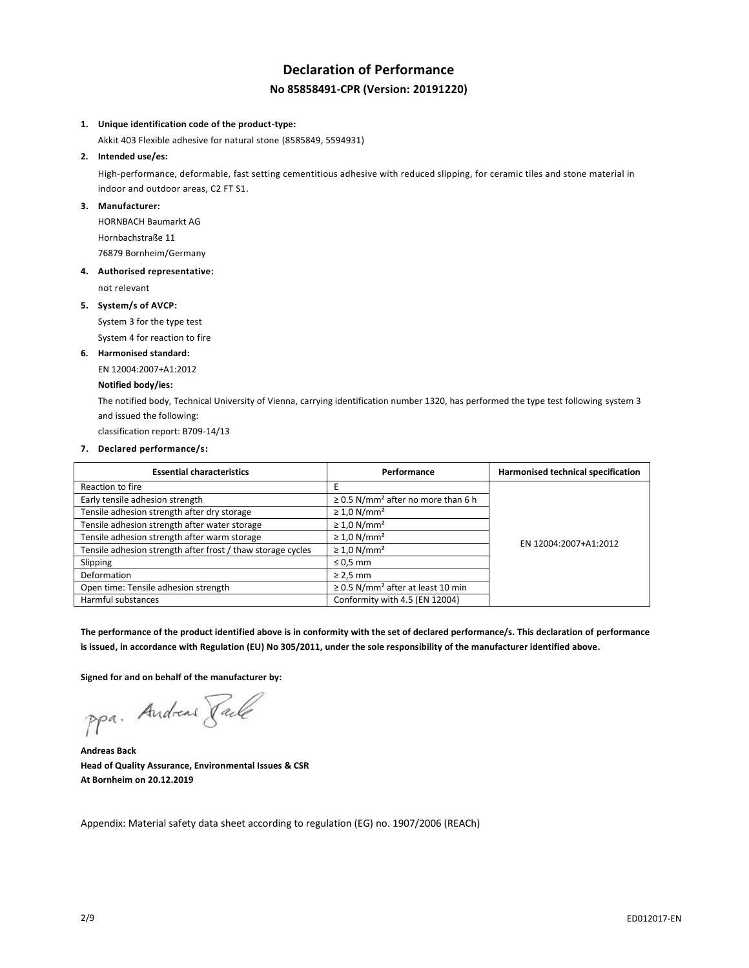# **Declaration of Performance No 85858491-CPR (Version: 20191220)**

### **1. Unique identification code of the product-type:**

Akkit 403 Flexible adhesive for natural stone (8585849, 5594931)

**2. Intended use/es:**

High-performance, deformable, fast setting cementitious adhesive with reduced slipping, for ceramic tiles and stone material in indoor and outdoor areas, C2 FT S1.

## **3. Manufacturer:**

HORNBACH Baumarkt AG Hornbachstraße 11 76879 Bornheim/Germany

### **4. Authorised representative:**

not relevant

### **5. System/s of AVCP:**

System 3 for the type test

System 4 for reaction to fire

### **6. Harmonised standard:**

EN 12004:2007+A1:2012

## **Notified body/ies:**

The notified body, Technical University of Vienna, carrying identification number 1320, has performed the type test following system 3 and issued the following:

classification report: B709-14/13

## **7. Declared performance/s:**

| <b>Essential characteristics</b>                            | Performance                                         | Harmonised technical specification |
|-------------------------------------------------------------|-----------------------------------------------------|------------------------------------|
| Reaction to fire                                            | E                                                   |                                    |
| Early tensile adhesion strength                             | $\geq$ 0.5 N/mm <sup>2</sup> after no more than 6 h |                                    |
| Tensile adhesion strength after dry storage                 | $\geq 1.0$ N/mm <sup>2</sup>                        |                                    |
| Tensile adhesion strength after water storage               | $\geq 1.0$ N/mm <sup>2</sup>                        |                                    |
| Tensile adhesion strength after warm storage                | $\geq 1.0$ N/mm <sup>2</sup>                        | EN 12004:2007+A1:2012              |
| Tensile adhesion strength after frost / thaw storage cycles | $\geq 1.0$ N/mm <sup>2</sup>                        |                                    |
| Slipping                                                    | $\leq 0.5$ mm                                       |                                    |
| Deformation                                                 | $\geq$ 2,5 mm                                       |                                    |
| Open time: Tensile adhesion strength                        | $\geq$ 0.5 N/mm <sup>2</sup> after at least 10 min  |                                    |
| Harmful substances                                          | Conformity with 4.5 (EN 12004)                      |                                    |

**The performance of the product identified above is in conformity with the set of declared performance/s. This declaration of performance is issued, in accordance with Regulation (EU) No 305/2011, under the sole responsibility of the manufacturer identified above.**

**Signed for and on behalf of the manufacturer by:**

ppa. Andreas Faile

**Andreas Back Head of Quality Assurance, Environmental Issues & CSR At Bornheim on 20.12.2019**

Appendix: Material safety data sheet according to regulation (EG) no. 1907/2006 (REACh)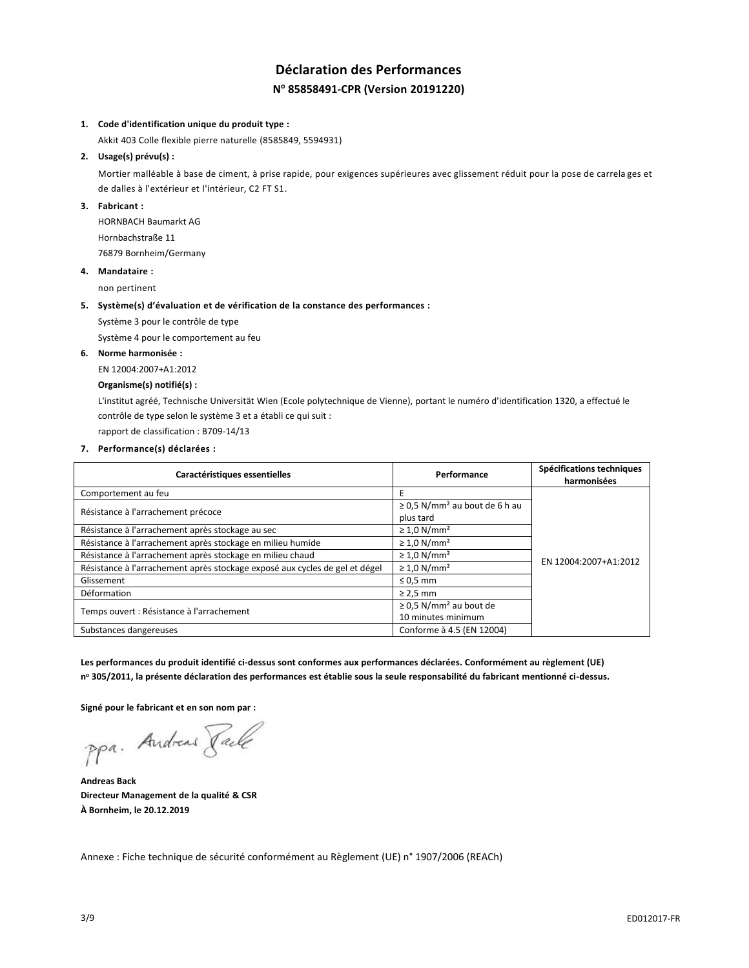# **Déclaration des Performances N <sup>o</sup> 85858491-CPR (Version 20191220)**

### **1. Code d'identification unique du produit type :**

Akkit 403 Colle flexible pierre naturelle (8585849, 5594931)

## **2. Usage(s) prévu(s) :**

Mortier malléable à base de ciment, à prise rapide, pour exigences supérieures avec glissement réduit pour la pose de carrela ges et de dalles à l'extérieur et l'intérieur, C2 FT S1.

## **3. Fabricant :**

HORNBACH Baumarkt AG Hornbachstraße 11 76879 Bornheim/Germany

### **4. Mandataire :**

non pertinent

### **5. Système(s) d'évaluation et de vérification de la constance des performances :**

Système 3 pour le contrôle de type

Système 4 pour le comportement au feu

## **6. Norme harmonisée :**

EN 12004:2007+A1:2012

## **Organisme(s) notifié(s) :**

L'institut agréé, Technische Universität Wien (Ecole polytechnique de Vienne), portant le numéro d'identification 1320, a effectué le contrôle de type selon le système 3 et a établi ce qui suit :

rapport de classification : B709-14/13

**7. Performance(s) déclarées :**

| Caractéristiques essentielles                                               | Performance                                                   | Spécifications techniques<br>harmonisées |
|-----------------------------------------------------------------------------|---------------------------------------------------------------|------------------------------------------|
| Comportement au feu                                                         | E                                                             |                                          |
| Résistance à l'arrachement précoce                                          | $\geq$ 0.5 N/mm <sup>2</sup> au bout de 6 h au<br>plus tard   |                                          |
| Résistance à l'arrachement après stockage au sec                            | $\geq 1.0$ N/mm <sup>2</sup>                                  |                                          |
| Résistance à l'arrachement après stockage en milieu humide                  | $\geq 1.0$ N/mm <sup>2</sup>                                  |                                          |
| Résistance à l'arrachement après stockage en milieu chaud                   | $\geq 1.0$ N/mm <sup>2</sup>                                  | EN 12004:2007+A1:2012                    |
| Résistance à l'arrachement après stockage exposé aux cycles de gel et dégel | $\geq 1.0$ N/mm <sup>2</sup>                                  |                                          |
| Glissement                                                                  | $\leq 0.5$ mm                                                 |                                          |
| Déformation                                                                 | $\geq$ 2,5 mm                                                 |                                          |
| Temps ouvert : Résistance à l'arrachement                                   | $\geq$ 0.5 N/mm <sup>2</sup> au bout de<br>10 minutes minimum |                                          |
| Substances dangereuses                                                      | Conforme à 4.5 (EN 12004)                                     |                                          |

**Les performances du produit identifié ci-dessus sont conformes aux performances déclarées. Conformément au règlement (UE) n <sup>o</sup> 305/2011, la présente déclaration des performances est établie sous la seule responsabilité du fabricant mentionné ci-dessus.**

**Signé pour le fabricant et en son nom par :**

ppa. Andreas Paule

**Andreas Back Directeur Management de la qualité & CSR À Bornheim, le 20.12.2019**

Annexe : Fiche technique de sécurité conformément au Règlement (UE) n° 1907/2006 (REACh)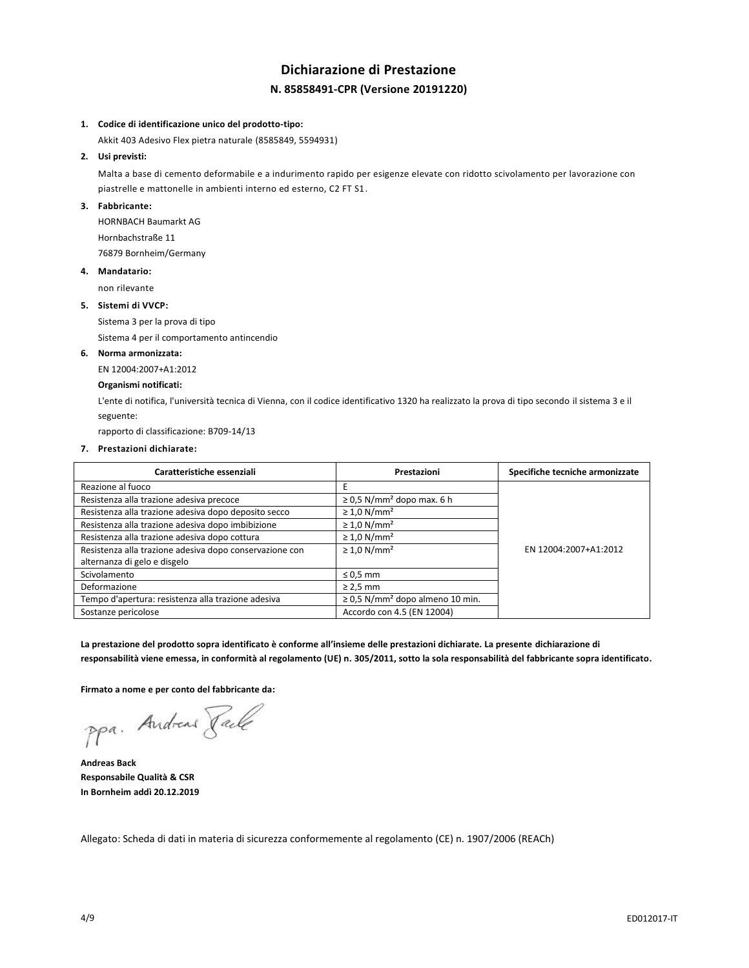# **Dichiarazione di Prestazione N. 85858491-CPR (Versione 20191220)**

#### **1. Codice di identificazione unico del prodotto-tipo:**

Akkit 403 Adesivo Flex pietra naturale (8585849, 5594931)

## **2. Usi previsti:**

Malta a base di cemento deformabile e a indurimento rapido per esigenze elevate con ridotto scivolamento per lavorazione con piastrelle e mattonelle in ambienti interno ed esterno, C2 FT S1.

## **3. Fabbricante:**

HORNBACH Baumarkt AG Hornbachstraße 11 76879 Bornheim/Germany

## **4. Mandatario:**

non rilevante

### **5. Sistemi di VVCP:**

Sistema 3 per la prova di tipo

Sistema 4 per il comportamento antincendio

### **6. Norma armonizzata:**

EN 12004:2007+A1:2012

## **Organismi notificati:**

L'ente di notifica, l'università tecnica di Vienna, con il codice identificativo 1320 ha realizzato la prova di tipo secondo il sistema 3 e il seguente:

rapporto di classificazione: B709-14/13

### **7. Prestazioni dichiarate:**

| Caratteristiche essenziali                              | Prestazioni                                      | Specifiche tecniche armonizzate |
|---------------------------------------------------------|--------------------------------------------------|---------------------------------|
| Reazione al fuoco                                       |                                                  |                                 |
| Resistenza alla trazione adesiva precoce                | $\geq$ 0,5 N/mm <sup>2</sup> dopo max. 6 h       |                                 |
| Resistenza alla trazione adesiva dopo deposito secco    | $\geq 1.0$ N/mm <sup>2</sup>                     |                                 |
| Resistenza alla trazione adesiva dopo imbibizione       | $\geq 1.0$ N/mm <sup>2</sup>                     |                                 |
| Resistenza alla trazione adesiva dopo cottura           | $\geq 1.0$ N/mm <sup>2</sup>                     |                                 |
| Resistenza alla trazione adesiva dopo conservazione con | $\geq 1.0$ N/mm <sup>2</sup>                     | EN 12004:2007+A1:2012           |
| alternanza di gelo e disgelo                            |                                                  |                                 |
| Scivolamento                                            | $\leq 0.5$ mm                                    |                                 |
| Deformazione                                            | $\geq$ 2,5 mm                                    |                                 |
| Tempo d'apertura: resistenza alla trazione adesiva      | $\geq$ 0,5 N/mm <sup>2</sup> dopo almeno 10 min. |                                 |
| Sostanze pericolose                                     | Accordo con 4.5 (EN 12004)                       |                                 |

**La prestazione del prodotto sopra identificato è conforme all'insieme delle prestazioni dichiarate. La presente dichiarazione di responsabilità viene emessa, in conformità al regolamento (UE) n. 305/2011, sotto la sola responsabilità del fabbricante sopra identificato.**

**Firmato a nome e per conto del fabbricante da:**

ppa. Andreas Pale

**Andreas Back Responsabile Qualità & CSR In Bornheim addì 20.12.2019**

Allegato: Scheda di dati in materia di sicurezza conformemente al regolamento (CE) n. 1907/2006 (REACh)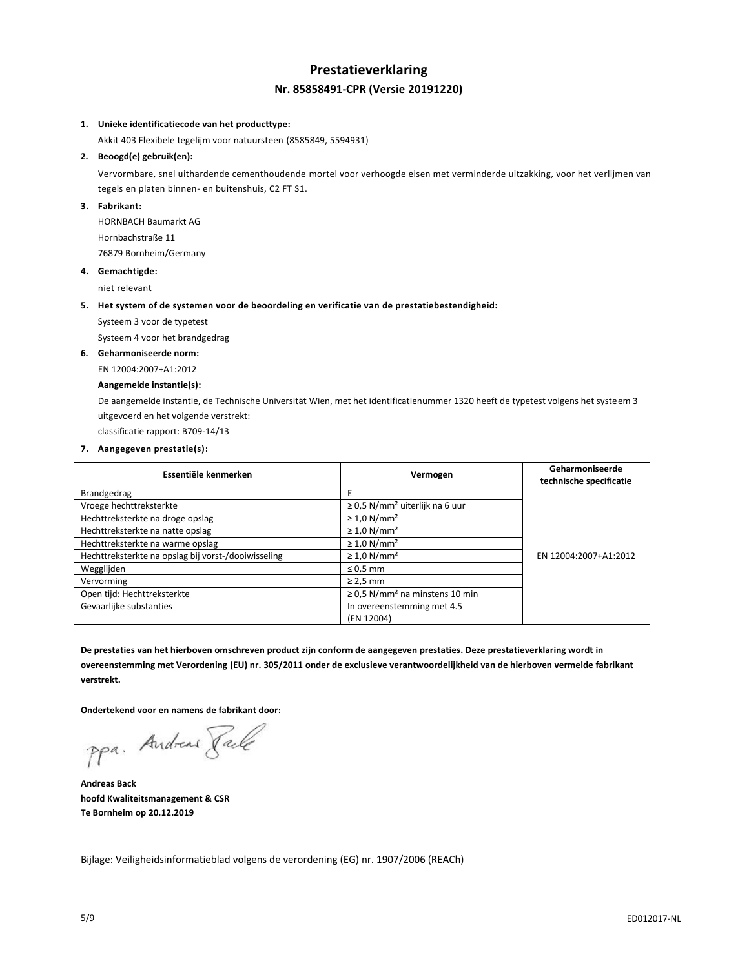# **Prestatieverklaring Nr. 85858491-CPR (Versie 20191220)**

## **1. Unieke identificatiecode van het producttype:**

Akkit 403 Flexibele tegelijm voor natuursteen (8585849, 5594931)

## **2. Beoogd(e) gebruik(en):**

Vervormbare, snel uithardende cementhoudende mortel voor verhoogde eisen met verminderde uitzakking, voor het verlijmen van tegels en platen binnen- en buitenshuis, C2 FT S1.

### **3. Fabrikant:**

HORNBACH Baumarkt AG Hornbachstraße 11 76879 Bornheim/Germany

## **4. Gemachtigde:**

niet relevant

#### **5. Het system of de systemen voor de beoordeling en verificatie van de prestatiebestendigheid:**

Systeem 3 voor de typetest

Systeem 4 voor het brandgedrag

### **6. Geharmoniseerde norm:**

EN 12004:2007+A1:2012

## **Aangemelde instantie(s):**

De aangemelde instantie, de Technische Universität Wien, met het identificatienummer 1320 heeft de typetest volgens het systeem 3 uitgevoerd en het volgende verstrekt:

classificatie rapport: B709-14/13

## **7. Aangegeven prestatie(s):**

| Essentiële kenmerken                                | Vermogen                                        | Geharmoniseerde<br>technische specificatie |
|-----------------------------------------------------|-------------------------------------------------|--------------------------------------------|
| Brandgedrag                                         |                                                 |                                            |
| Vroege hechttreksterkte                             | $\geq$ 0.5 N/mm <sup>2</sup> uiterlijk na 6 uur |                                            |
| Hechttreksterkte na droge opslag                    | $\geq 1.0$ N/mm <sup>2</sup>                    |                                            |
| Hechttreksterkte na natte opslag                    | $\geq 1.0$ N/mm <sup>2</sup>                    |                                            |
| Hechttreksterkte na warme opslag                    | $\geq 1.0$ N/mm <sup>2</sup>                    |                                            |
| Hechttreksterkte na opslag bij vorst-/dooiwisseling | $\geq 1.0$ N/mm <sup>2</sup>                    | EN 12004:2007+A1:2012                      |
| Wegglijden                                          | $\leq 0.5$ mm                                   |                                            |
| Vervorming                                          | $\geq$ 2.5 mm                                   |                                            |
| Open tijd: Hechttreksterkte                         | $\geq$ 0.5 N/mm <sup>2</sup> na minstens 10 min |                                            |
| Gevaarlijke substanties                             | In overeenstemming met 4.5<br>(EN 12004)        |                                            |

**De prestaties van het hierboven omschreven product zijn conform de aangegeven prestaties. Deze prestatieverklaring wordt in overeenstemming met Verordening (EU) nr. 305/2011 onder de exclusieve verantwoordelijkheid van de hierboven vermelde fabrikant verstrekt.**

**Ondertekend voor en namens de fabrikant door:**

ppa. Andreas Pale

**Andreas Back hoofd Kwaliteitsmanagement & CSR Te Bornheim op 20.12.2019**

Bijlage: Veiligheidsinformatieblad volgens de verordening (EG) nr. 1907/2006 (REACh)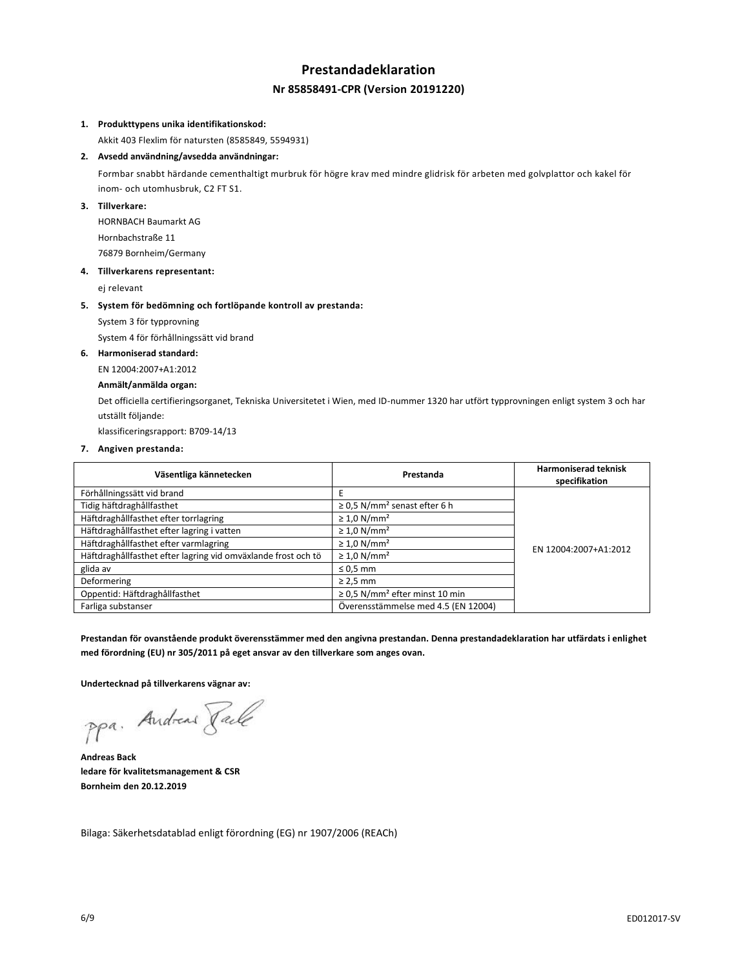# **Prestandadeklaration Nr 85858491-CPR (Version 20191220)**

## **1. Produkttypens unika identifikationskod:**

Akkit 403 Flexlim för natursten (8585849, 5594931)

## **2. Avsedd användning/avsedda användningar:**

Formbar snabbt härdande cementhaltigt murbruk för högre krav med mindre glidrisk för arbeten med golvplattor och kakel för inom- och utomhusbruk, C2 FT S1.

## **3. Tillverkare:**

HORNBACH Baumarkt AG Hornbachstraße 11 76879 Bornheim/Germany

#### **4. Tillverkarens representant:**

ej relevant

#### **5. System för bedömning och fortlöpande kontroll av prestanda:**

System 3 för typprovning

System 4 för förhållningssätt vid brand

### **6. Harmoniserad standard:**

EN 12004:2007+A1:2012

## **Anmält/anmälda organ:**

Det officiella certifieringsorganet, Tekniska Universitetet i Wien, med ID-nummer 1320 har utfört typprovningen enligt system 3 och har utställt följande:

klassificeringsrapport: B709-14/13

#### **7. Angiven prestanda:**

| Väsentliga kännetecken                                        | Prestanda                                       | <b>Harmoniserad teknisk</b><br>specifikation |
|---------------------------------------------------------------|-------------------------------------------------|----------------------------------------------|
| Förhållningssätt vid brand                                    | E                                               |                                              |
| Tidig häftdraghållfasthet                                     | $\geq$ 0.5 N/mm <sup>2</sup> senast efter 6 h   |                                              |
| Häftdraghållfasthet efter torrlagring                         | $\geq 1.0$ N/mm <sup>2</sup>                    |                                              |
| Häftdraghållfasthet efter lagring i vatten                    | $\geq 1.0$ N/mm <sup>2</sup>                    |                                              |
| Häftdraghållfasthet efter varmlagring                         | $\geq 1.0$ N/mm <sup>2</sup>                    | EN 12004:2007+A1:2012                        |
| Häftdraghållfasthet efter lagring vid omväxlande frost och tö | $\geq 1.0$ N/mm <sup>2</sup>                    |                                              |
| glida av                                                      | $\leq 0.5$ mm                                   |                                              |
| Deformering                                                   | $\geq$ 2,5 mm                                   |                                              |
| Oppentid: Häftdraghållfasthet                                 | $\geq$ 0,5 N/mm <sup>2</sup> efter minst 10 min |                                              |
| Farliga substanser                                            | Överensstämmelse med 4.5 (EN 12004)             |                                              |

**Prestandan för ovanstående produkt överensstämmer med den angivna prestandan. Denna prestandadeklaration har utfärdats i enlighet med förordning (EU) nr 305/2011 på eget ansvar av den tillverkare som anges ovan.**

**Undertecknad på tillverkarens vägnar av:**

ppa. Andreas Pale

**Andreas Back ledare för kvalitetsmanagement & CSR Bornheim den 20.12.2019**

Bilaga: Säkerhetsdatablad enligt förordning (EG) nr 1907/2006 (REACh)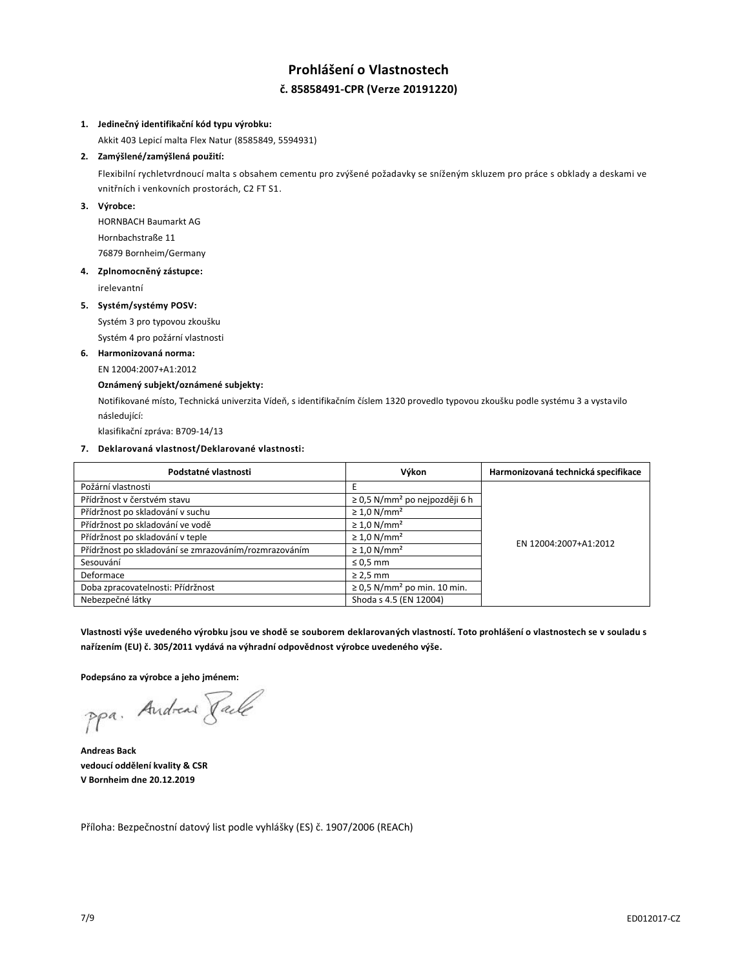# **Prohlášení o Vlastnostech č. 85858491-CPR (Verze 20191220)**

## **1. Jedinečný identifikační kód typu výrobku:**

Akkit 403 Lepicí malta Flex Natur (8585849, 5594931)

## **2. Zamýšlené/zamýšlená použití:**

Flexibilní rychletvrdnoucí malta s obsahem cementu pro zvýšené požadavky se sníženým skluzem pro práce s obklady a deskami ve vnitřních i venkovních prostorách, C2 FT S1.

## **3. Výrobce:**

HORNBACH Baumarkt AG Hornbachstraße 11 76879 Bornheim/Germany

### **4. Zplnomocněný zástupce:**

irelevantní

## **5. Systém/systémy POSV:**

Systém 3 pro typovou zkoušku

Systém 4 pro požární vlastnosti

## **6. Harmonizovaná norma:**

EN 12004:2007+A1:2012

## **Oznámený subjekt/oznámené subjekty:**

Notifikované místo, Technická univerzita Vídeň, s identifikačním číslem 1320 provedlo typovou zkoušku podle systému 3 a vystavilo následující:

klasifikační zpráva: B709-14/13

## **7. Deklarovaná vlastnost/Deklarované vlastnosti:**

| Podstatné vlastnosti                                  | Výkon                                          | Harmonizovaná technická specifikace |
|-------------------------------------------------------|------------------------------------------------|-------------------------------------|
| Požární vlastnosti                                    |                                                |                                     |
| Přídržnost v čerstvém stavu                           | $\geq$ 0,5 N/mm <sup>2</sup> po nejpozději 6 h |                                     |
| Přídržnost po skladování v suchu                      | $\geq 1.0$ N/mm <sup>2</sup>                   |                                     |
| Přídržnost po skladování ve vodě                      | $\geq 1.0$ N/mm <sup>2</sup>                   |                                     |
| Přídržnost po skladování v teple                      | $\geq 1.0$ N/mm <sup>2</sup>                   | EN 12004:2007+A1:2012               |
| Přídržnost po skladování se zmrazováním/rozmrazováním | $\geq 1.0$ N/mm <sup>2</sup>                   |                                     |
| Sesouvání                                             | $\leq 0.5$ mm                                  |                                     |
| Deformace                                             | $\geq$ 2,5 mm                                  |                                     |
| Doba zpracovatelnosti: Přídržnost                     | $\geq$ 0.5 N/mm <sup>2</sup> po min. 10 min.   |                                     |
| Nebezpečné látky                                      | Shoda s 4.5 (EN 12004)                         |                                     |

**Vlastnosti výše uvedeného výrobku jsou ve shodě se souborem deklarovaných vlastností. Toto prohlášení o vlastnostech se v souladu s nařízením (EU) č. 305/2011 vydává na výhradní odpovědnost výrobce uvedeného výše.**

**Podepsáno za výrobce a jeho jménem:**

ppa. Andreas Face

**Andreas Back vedoucí oddělení kvality & CSR V Bornheim dne 20.12.2019**

Příloha: Bezpečnostní datový list podle vyhlášky (ES) č. 1907/2006 (REACh)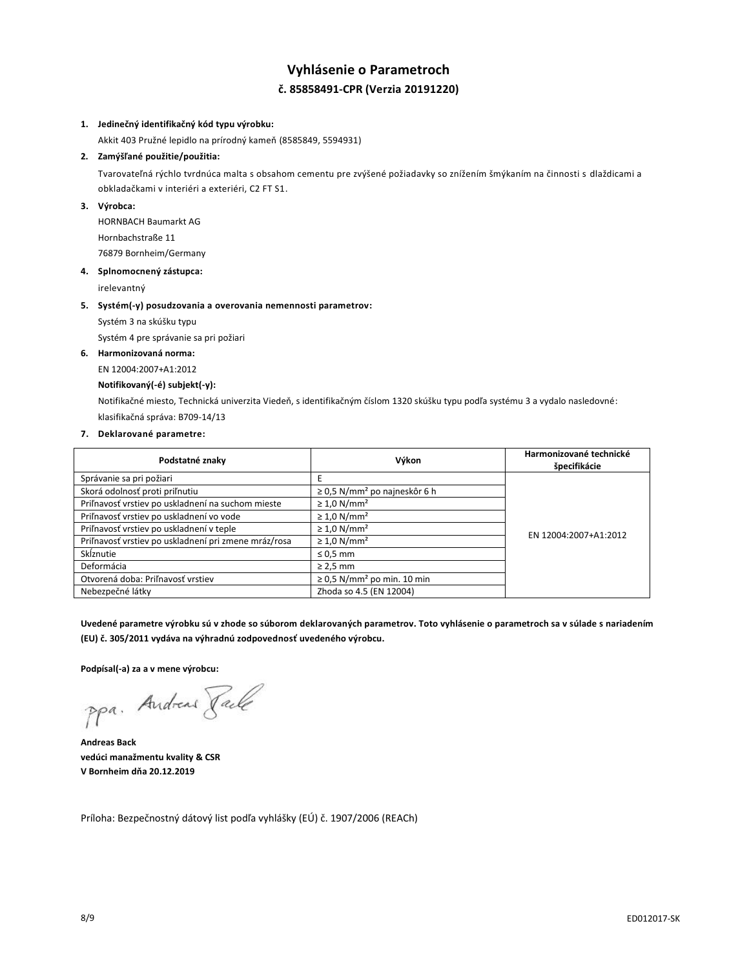# **Vyhlásenie o Parametroch č. 85858491-CPR (Verzia 20191220)**

### **1. Jedinečný identifikačný kód typu výrobku:**

Akkit 403 Pružné lepidlo na prírodný kameň (8585849, 5594931)

# **2. Zamýšľané použitie/použitia:**

Tvarovateľná rýchlo tvrdnúca malta s obsahom cementu pre zvýšené požiadavky so znížením šmýkaním na činnosti s dlaždicami a obkladačkami v interiéri a exteriéri, C2 FT S1.

## **3. Výrobca:**

HORNBACH Baumarkt AG Hornbachstraße 11 76879 Bornheim/Germany

## **4. Splnomocnený zástupca:**

irelevantný

### **5. Systém(-y) posudzovania a overovania nemennosti parametrov:**

Systém 3 na skúšku typu

Systém 4 pre správanie sa pri požiari

## **6. Harmonizovaná norma:**

EN 12004:2007+A1:2012

### **Notifikovaný(-é) subjekt(-y):**

Notifikačné miesto, Technická univerzita Viedeň, s identifikačným číslom 1320 skúšku typu podľa systému 3 a vydalo nasledovné: klasifikačná správa: B709-14/13

### **7. Deklarované parametre:**

| Podstatné znaky                                      | Výkon                                         | Harmonizované technické<br>špecifikácie |
|------------------------------------------------------|-----------------------------------------------|-----------------------------------------|
| Správanie sa pri požiari                             |                                               |                                         |
| Skorá odolnosť proti priľnutiu                       | $\geq$ 0,5 N/mm <sup>2</sup> po najneskôr 6 h |                                         |
| Priľnavosť vrstiev po uskladnení na suchom mieste    | $\geq 1.0$ N/mm <sup>2</sup>                  |                                         |
| Priľnavosť vrstiev po uskladnení vo vode             | $\geq 1.0$ N/mm <sup>2</sup>                  |                                         |
| Priľnavosť vrstiev po uskladnení v teple             | $\geq 1.0$ N/mm <sup>2</sup>                  | EN 12004:2007+A1:2012                   |
| Priľnavosť vrstiev po uskladnení pri zmene mráz/rosa | $\geq 1.0$ N/mm <sup>2</sup>                  |                                         |
| Sklznutie                                            | $\leq 0.5$ mm                                 |                                         |
| Deformácia                                           | $\geq$ 2,5 mm                                 |                                         |
| Otvorená doba: Priľnavosť vrstiev                    | $\geq$ 0,5 N/mm <sup>2</sup> po min. 10 min   |                                         |
| Nebezpečné látky                                     | Zhoda so 4.5 (EN 12004)                       |                                         |

**Uvedené parametre výrobku sú v zhode so súborom deklarovaných parametrov. Toto vyhlásenie o parametroch sa v súlade s nariadením (EU) č. 305/2011 vydáva na výhradnú zodpovednosť uvedeného výrobcu.**

**Podpísal(-a) za a v mene výrobcu:**

ppa. Andreas Face

**Andreas Back vedúci manažmentu kvality & CSR V Bornheim dňa 20.12.2019**

Príloha: Bezpečnostný dátový list podľa vyhlášky (EÚ) č. 1907/2006 (REACh)